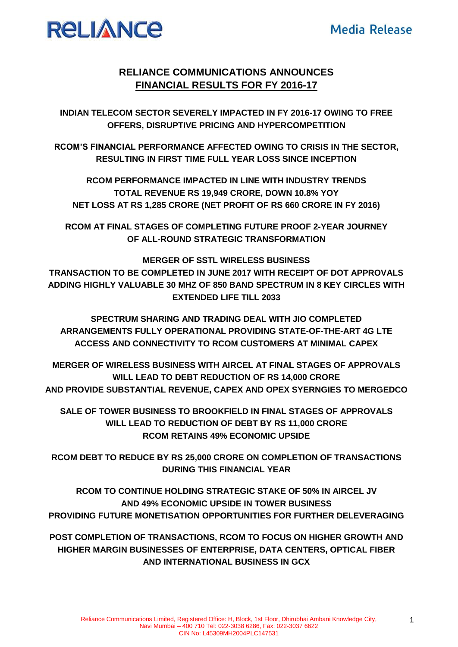

# **RELIANCE COMMUNICATIONS ANNOUNCES FINANCIAL RESULTS FOR FY 2016-17**

**INDIAN TELECOM SECTOR SEVERELY IMPACTED IN FY 2016-17 OWING TO FREE OFFERS, DISRUPTIVE PRICING AND HYPERCOMPETITION**

**RCOM'S FINANCIAL PERFORMANCE AFFECTED OWING TO CRISIS IN THE SECTOR, RESULTING IN FIRST TIME FULL YEAR LOSS SINCE INCEPTION**

**RCOM PERFORMANCE IMPACTED IN LINE WITH INDUSTRY TRENDS TOTAL REVENUE RS 19,949 CRORE, DOWN 10.8% YOY NET LOSS AT RS 1,285 CRORE (NET PROFIT OF RS 660 CRORE IN FY 2016)** 

**RCOM AT FINAL STAGES OF COMPLETING FUTURE PROOF 2-YEAR JOURNEY OF ALL-ROUND STRATEGIC TRANSFORMATION** 

**MERGER OF SSTL WIRELESS BUSINESS TRANSACTION TO BE COMPLETED IN JUNE 2017 WITH RECEIPT OF DOT APPROVALS ADDING HIGHLY VALUABLE 30 MHZ OF 850 BAND SPECTRUM IN 8 KEY CIRCLES WITH EXTENDED LIFE TILL 2033**

**SPECTRUM SHARING AND TRADING DEAL WITH JIO COMPLETED ARRANGEMENTS FULLY OPERATIONAL PROVIDING STATE-OF-THE-ART 4G LTE ACCESS AND CONNECTIVITY TO RCOM CUSTOMERS AT MINIMAL CAPEX**

**MERGER OF WIRELESS BUSINESS WITH AIRCEL AT FINAL STAGES OF APPROVALS WILL LEAD TO DEBT REDUCTION OF RS 14,000 CRORE AND PROVIDE SUBSTANTIAL REVENUE, CAPEX AND OPEX SYERNGIES TO MERGEDCO**

**SALE OF TOWER BUSINESS TO BROOKFIELD IN FINAL STAGES OF APPROVALS WILL LEAD TO REDUCTION OF DEBT BY RS 11,000 CRORE RCOM RETAINS 49% ECONOMIC UPSIDE** 

**RCOM DEBT TO REDUCE BY RS 25,000 CRORE ON COMPLETION OF TRANSACTIONS DURING THIS FINANCIAL YEAR**

**RCOM TO CONTINUE HOLDING STRATEGIC STAKE OF 50% IN AIRCEL JV AND 49% ECONOMIC UPSIDE IN TOWER BUSINESS PROVIDING FUTURE MONETISATION OPPORTUNITIES FOR FURTHER DELEVERAGING**

**POST COMPLETION OF TRANSACTIONS, RCOM TO FOCUS ON HIGHER GROWTH AND HIGHER MARGIN BUSINESSES OF ENTERPRISE, DATA CENTERS, OPTICAL FIBER AND INTERNATIONAL BUSINESS IN GCX**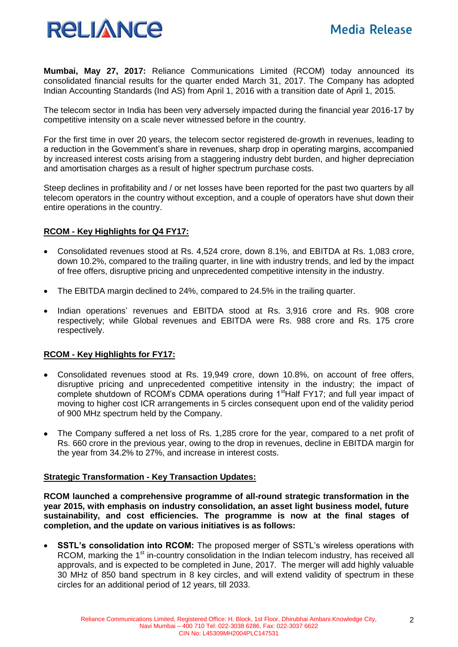

**Mumbai, May 27, 2017:** Reliance Communications Limited (RCOM) today announced its consolidated financial results for the quarter ended March 31, 2017. The Company has adopted Indian Accounting Standards (Ind AS) from April 1, 2016 with a transition date of April 1, 2015.

The telecom sector in India has been very adversely impacted during the financial year 2016-17 by competitive intensity on a scale never witnessed before in the country.

For the first time in over 20 years, the telecom sector registered de-growth in revenues, leading to a reduction in the Government's share in revenues, sharp drop in operating margins, accompanied by increased interest costs arising from a staggering industry debt burden, and higher depreciation and amortisation charges as a result of higher spectrum purchase costs.

Steep declines in profitability and / or net losses have been reported for the past two quarters by all telecom operators in the country without exception, and a couple of operators have shut down their entire operations in the country.

### **RCOM - Key Highlights for Q4 FY17:**

- Consolidated revenues stood at Rs. 4,524 crore, down 8.1%, and EBITDA at Rs. 1,083 crore, down 10.2%, compared to the trailing quarter, in line with industry trends, and led by the impact of free offers, disruptive pricing and unprecedented competitive intensity in the industry.
- The EBITDA margin declined to 24%, compared to 24.5% in the trailing quarter.
- Indian operations' revenues and EBITDA stood at Rs. 3,916 crore and Rs. 908 crore respectively; while Global revenues and EBITDA were Rs. 988 crore and Rs. 175 crore respectively.

# **RCOM - Key Highlights for FY17:**

- Consolidated revenues stood at Rs. 19,949 crore, down 10.8%, on account of free offers, disruptive pricing and unprecedented competitive intensity in the industry; the impact of complete shutdown of RCOM's CDMA operations during 1<sup>st</sup>Half FY17; and full year impact of moving to higher cost ICR arrangements in 5 circles consequent upon end of the validity period of 900 MHz spectrum held by the Company.
- The Company suffered a net loss of Rs. 1,285 crore for the year, compared to a net profit of Rs. 660 crore in the previous year, owing to the drop in revenues, decline in EBITDA margin for the year from 34.2% to 27%, and increase in interest costs.

### **Strategic Transformation - Key Transaction Updates:**

**RCOM launched a comprehensive programme of all-round strategic transformation in the year 2015, with emphasis on industry consolidation, an asset light business model, future sustainability, and cost efficiencies. The programme is now at the final stages of completion, and the update on various initiatives is as follows:** 

 **SSTL's consolidation into RCOM:** The proposed merger of SSTL's wireless operations with RCOM, marking the 1<sup>st</sup> in-country consolidation in the Indian telecom industry, has received all approvals, and is expected to be completed in June, 2017. The merger will add highly valuable 30 MHz of 850 band spectrum in 8 key circles, and will extend validity of spectrum in these circles for an additional period of 12 years, till 2033.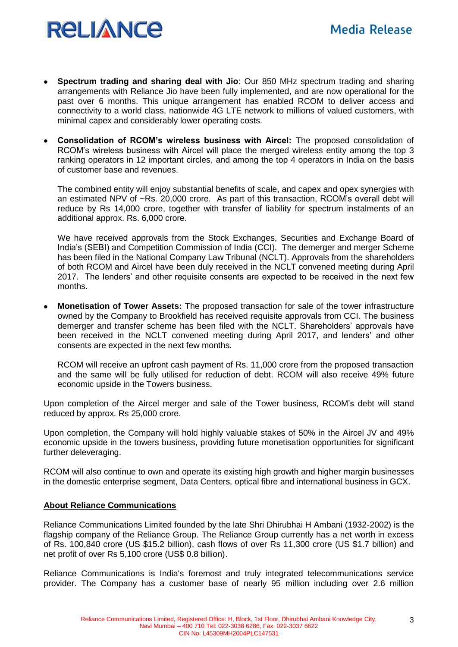

- **Spectrum trading and sharing deal with Jio**: Our 850 MHz spectrum trading and sharing arrangements with Reliance Jio have been fully implemented, and are now operational for the past over 6 months. This unique arrangement has enabled RCOM to deliver access and connectivity to a world class, nationwide 4G LTE network to millions of valued customers, with minimal capex and considerably lower operating costs.
- **Consolidation of RCOM's wireless business with Aircel:** The proposed consolidation of RCOM's wireless business with Aircel will place the merged wireless entity among the top 3 ranking operators in 12 important circles, and among the top 4 operators in India on the basis of customer base and revenues.

The combined entity will enjoy substantial benefits of scale, and capex and opex synergies with an estimated NPV of ~Rs. 20,000 crore. As part of this transaction, RCOM's overall debt will reduce by Rs 14,000 crore, together with transfer of liability for spectrum instalments of an additional approx. Rs. 6,000 crore.

We have received approvals from the Stock Exchanges, Securities and Exchange Board of India's (SEBI) and Competition Commission of India (CCI). The demerger and merger Scheme has been filed in the National Company Law Tribunal (NCLT). Approvals from the shareholders of both RCOM and Aircel have been duly received in the NCLT convened meeting during April 2017. The lenders' and other requisite consents are expected to be received in the next few months.

 **Monetisation of Tower Assets:** The proposed transaction for sale of the tower infrastructure owned by the Company to Brookfield has received requisite approvals from CCI. The business demerger and transfer scheme has been filed with the NCLT. Shareholders' approvals have been received in the NCLT convened meeting during April 2017, and lenders' and other consents are expected in the next few months.

RCOM will receive an upfront cash payment of Rs. 11,000 crore from the proposed transaction and the same will be fully utilised for reduction of debt. RCOM will also receive 49% future economic upside in the Towers business.

Upon completion of the Aircel merger and sale of the Tower business, RCOM's debt will stand reduced by approx. Rs 25,000 crore.

Upon completion, the Company will hold highly valuable stakes of 50% in the Aircel JV and 49% economic upside in the towers business, providing future monetisation opportunities for significant further deleveraging.

RCOM will also continue to own and operate its existing high growth and higher margin businesses in the domestic enterprise segment, Data Centers, optical fibre and international business in GCX.

### **About Reliance Communications**

Reliance Communications Limited founded by the late Shri Dhirubhai H Ambani (1932-2002) is the flagship company of the Reliance Group. The Reliance Group currently has a net worth in excess of Rs. 100,840 crore (US \$15.2 billion), cash flows of over Rs 11,300 crore (US \$1.7 billion) and net profit of over Rs 5,100 crore (US\$ 0.8 billion).

Reliance Communications is India's foremost and truly integrated telecommunications service provider. The Company has a customer base of nearly 95 million including over 2.6 million